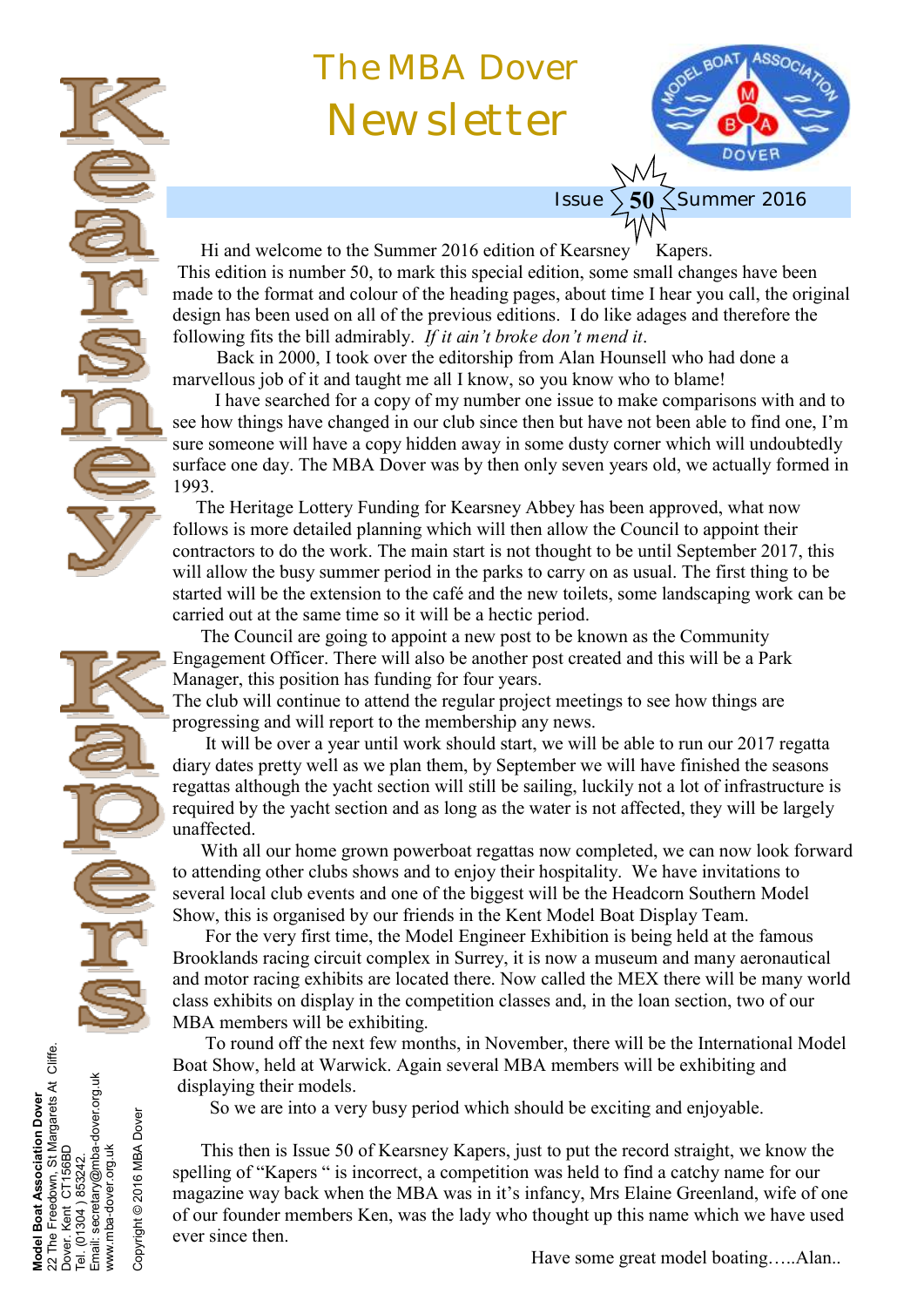# The MBA Dover Newsletter



Hi and welcome to the Summer 2016 edition of Kearsney Kapers. This edition is number 50, to mark this special edition, some small changes have been made to the format and colour of the heading pages, about time I hear you call, the original design has been used on all of the previous editions. I do like adages and therefore the following fits the bill admirably. *If it ain't broke don't mend it*.

Issue

Back in 2000, I took over the editorship from Alan Hounsell who had done a marvellous job of it and taught me all I know, so you know who to blame!

 I have searched for a copy of my number one issue to make comparisons with and to see how things have changed in our club since then but have not been able to find one, I'm sure someone will have a copy hidden away in some dusty corner which will undoubtedly surface one day. The MBA Dover was by then only seven years old, we actually formed in 1993.

 The Heritage Lottery Funding for Kearsney Abbey has been approved, what now follows is more detailed planning which will then allow the Council to appoint their contractors to do the work. The main start is not thought to be until September 2017, this will allow the busy summer period in the parks to carry on as usual. The first thing to be started will be the extension to the café and the new toilets, some landscaping work can be carried out at the same time so it will be a hectic period.

 The Council are going to appoint a new post to be known as the Community Engagement Officer. There will also be another post created and this will be a Park Manager, this position has funding for four years.

The club will continue to attend the regular project meetings to see how things are progressing and will report to the membership any news.

 It will be over a year until work should start, we will be able to run our 2017 regatta diary dates pretty well as we plan them, by September we will have finished the seasons regattas although the yacht section will still be sailing, luckily not a lot of infrastructure is required by the yacht section and as long as the water is not affected, they will be largely unaffected.

 With all our home grown powerboat regattas now completed, we can now look forward to attending other clubs shows and to enjoy their hospitality. We have invitations to several local club events and one of the biggest will be the Headcorn Southern Model Show, this is organised by our friends in the Kent Model Boat Display Team.

 For the very first time, the Model Engineer Exhibition is being held at the famous Brooklands racing circuit complex in Surrey, it is now a museum and many aeronautical and motor racing exhibits are located there. Now called the MEX there will be many world class exhibits on display in the competition classes and, in the loan section, two of our MBA members will be exhibiting.

 To round off the next few months, in November, there will be the International Model Boat Show, held at Warwick. Again several MBA members will be exhibiting and displaying their models.

So we are into a very busy period which should be exciting and enjoyable.

**Model Boat Association Dover** 22 The Freedown, St Margarets At Cliffe.

Boat Association Dover<br>∍ Freedown, St Margarets At Cliffe.<br>Kent CT156BD

The I

Model<br>22 The Jover  $\overline{0}$ 

Dover. Kent CT156BD Tel. (01304 ) 853242.

853242.

 $(01304)$ 

Email: secretary@mba-dover.org.uk

Email:

secretary@mba-dover.org.uk

www.mba-dover.org.uk

www.mba-dover.org.uk

Copyright © 2016 MBA Dover

Copyright © 2016 MBA Dover

 This then is Issue 50 of Kearsney Kapers, just to put the record straight, we know the spelling of "Kapers " is incorrect, a competition was held to find a catchy name for our magazine way back when the MBA was in it's infancy, Mrs Elaine Greenland, wife of one of our founder members Ken, was the lady who thought up this name which we have used ever since then.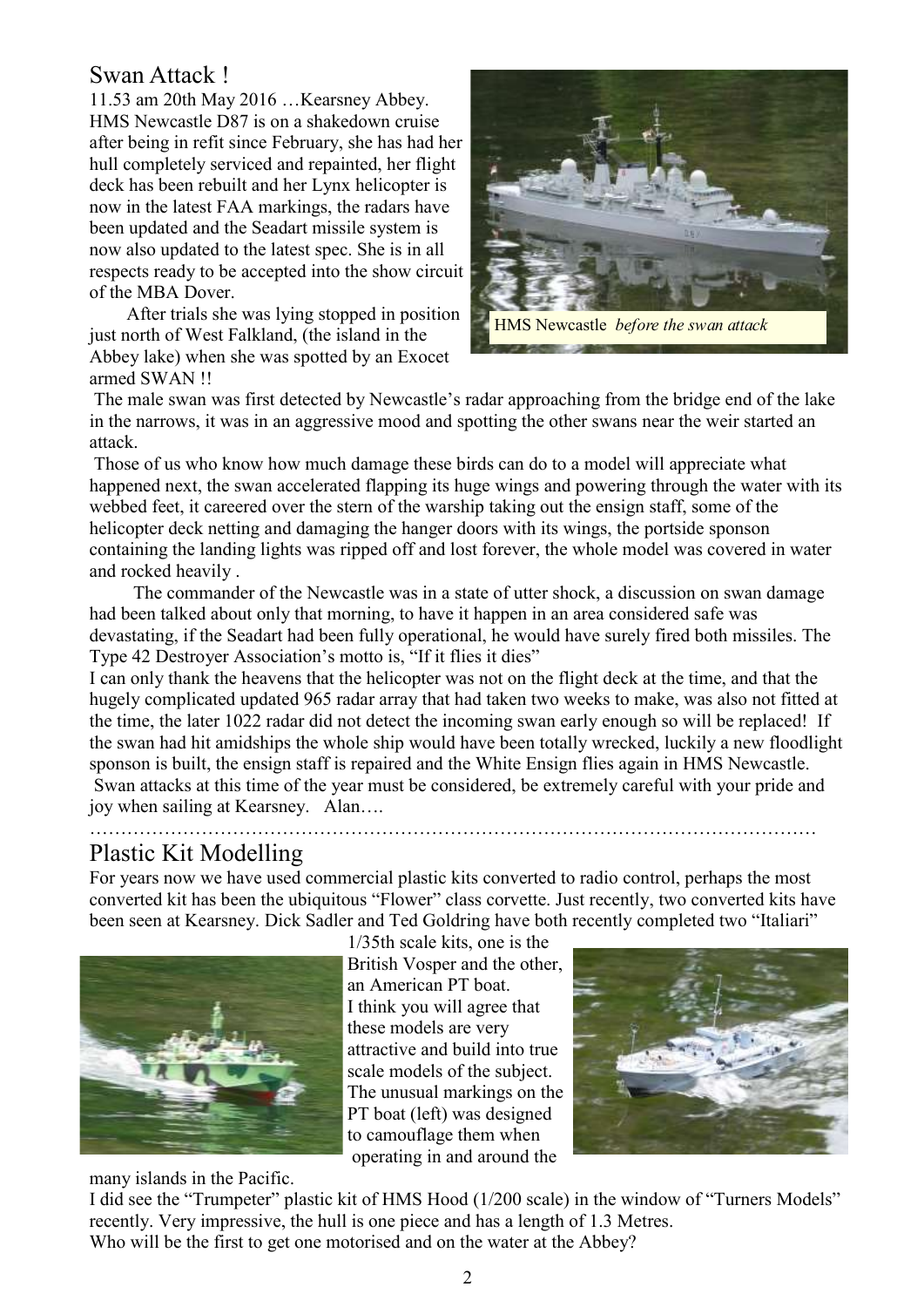# Swan Attack !

11.53 am 20th May 2016 …Kearsney Abbey. HMS Newcastle D87 is on a shakedown cruise after being in refit since February, she has had her hull completely serviced and repainted, her flight deck has been rebuilt and her Lynx helicopter is now in the latest FAA markings, the radars have been updated and the Seadart missile system is now also updated to the latest spec. She is in all respects ready to be accepted into the show circuit of the MBA Dover.

 After trials she was lying stopped in position just north of West Falkland, (the island in the Abbey lake) when she was spotted by an Exocet armed SWAN !!



The male swan was first detected by Newcastle's radar approaching from the bridge end of the lake in the narrows, it was in an aggressive mood and spotting the other swans near the weir started an attack.

Those of us who know how much damage these birds can do to a model will appreciate what happened next, the swan accelerated flapping its huge wings and powering through the water with its webbed feet, it careered over the stern of the warship taking out the ensign staff, some of the helicopter deck netting and damaging the hanger doors with its wings, the portside sponson containing the landing lights was ripped off and lost forever, the whole model was covered in water and rocked heavily .

The commander of the Newcastle was in a state of utter shock, a discussion on swan damage had been talked about only that morning, to have it happen in an area considered safe was devastating, if the Seadart had been fully operational, he would have surely fired both missiles. The Type 42 Destroyer Association's motto is, "If it flies it dies"

I can only thank the heavens that the helicopter was not on the flight deck at the time, and that the hugely complicated updated 965 radar array that had taken two weeks to make, was also not fitted at the time, the later 1022 radar did not detect the incoming swan early enough so will be replaced! If the swan had hit amidships the whole ship would have been totally wrecked, luckily a new floodlight sponson is built, the ensign staff is repaired and the White Ensign flies again in HMS Newcastle. Swan attacks at this time of the year must be considered, be extremely careful with your pride and joy when sailing at Kearsney. Alan….

# Plastic Kit Modelling

For years now we have used commercial plastic kits converted to radio control, perhaps the most converted kit has been the ubiquitous "Flower" class corvette. Just recently, two converted kits have been seen at Kearsney. Dick Sadler and Ted Goldring have both recently completed two "Italiari"



1/35th scale kits, one is the

………………………………………………………………………………………………………

British Vosper and the other an American PT boat. I think you will agree that these models are very attractive and build into true scale models of the subject. The unusual markings on the PT boat (left) was designed to camouflage them when operating in and around the



many islands in the Pacific.

I did see the "Trumpeter" plastic kit of HMS Hood (1/200 scale) in the window of "Turners Models" recently. Very impressive, the hull is one piece and has a length of 1.3 Metres. Who will be the first to get one motorised and on the water at the Abbey?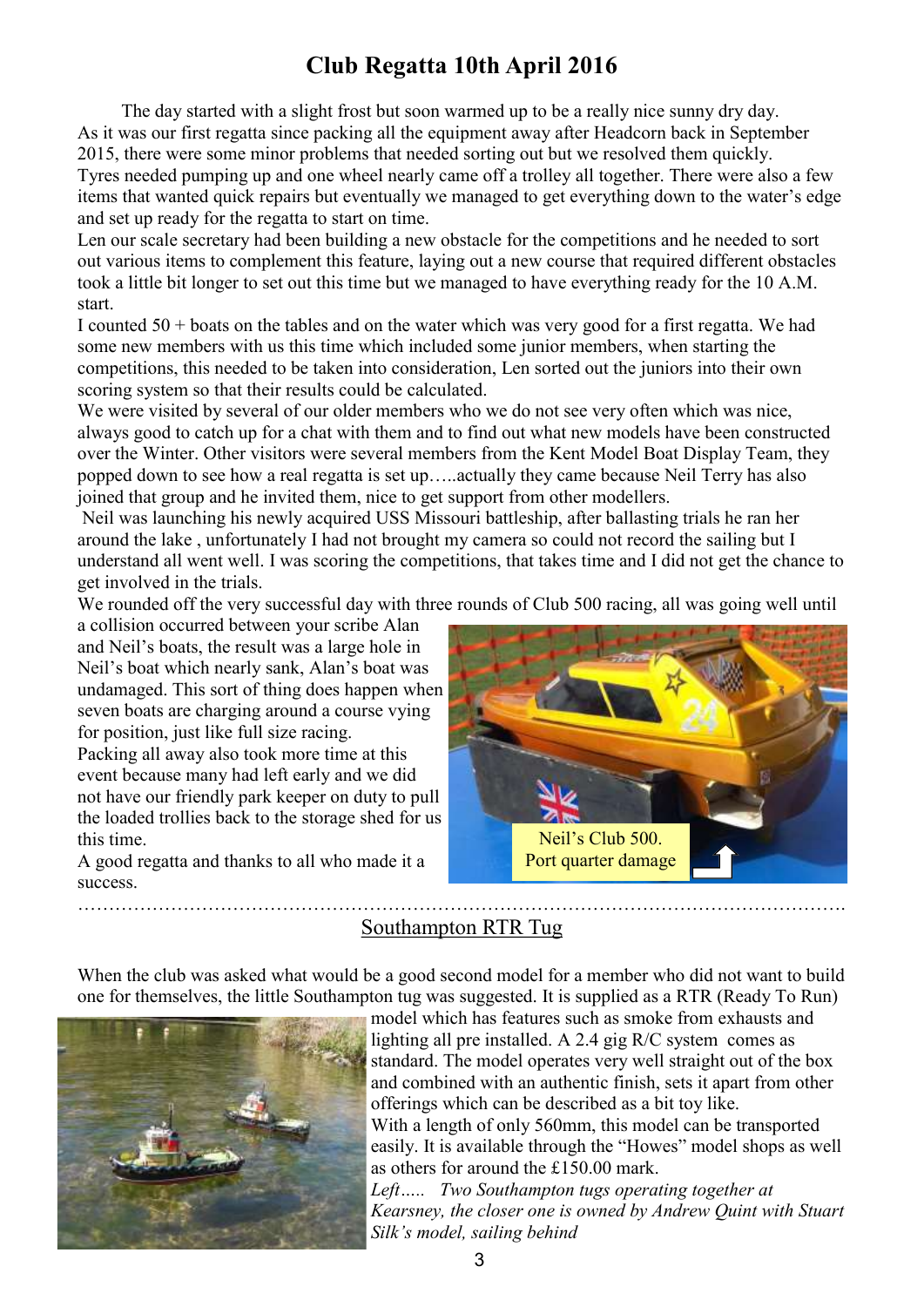# **Club Regatta 10th April 2016**

The day started with a slight frost but soon warmed up to be a really nice sunny dry day. As it was our first regatta since packing all the equipment away after Headcorn back in September 2015, there were some minor problems that needed sorting out but we resolved them quickly. Tyres needed pumping up and one wheel nearly came off a trolley all together. There were also a few items that wanted quick repairs but eventually we managed to get everything down to the water's edge and set up ready for the regatta to start on time.

Len our scale secretary had been building a new obstacle for the competitions and he needed to sort out various items to complement this feature, laying out a new course that required different obstacles took a little bit longer to set out this time but we managed to have everything ready for the 10 A.M. start.

I counted  $50 +$  boats on the tables and on the water which was very good for a first regatta. We had some new members with us this time which included some junior members, when starting the competitions, this needed to be taken into consideration, Len sorted out the juniors into their own scoring system so that their results could be calculated.

We were visited by several of our older members who we do not see very often which was nice, always good to catch up for a chat with them and to find out what new models have been constructed over the Winter. Other visitors were several members from the Kent Model Boat Display Team, they popped down to see how a real regatta is set up…..actually they came because Neil Terry has also joined that group and he invited them, nice to get support from other modellers.

Neil was launching his newly acquired USS Missouri battleship, after ballasting trials he ran her around the lake , unfortunately I had not brought my camera so could not record the sailing but I understand all went well. I was scoring the competitions, that takes time and I did not get the chance to get involved in the trials.

We rounded off the very successful day with three rounds of Club 500 racing, all was going well until

a collision occurred between your scribe Alan and Neil's boats, the result was a large hole in Neil's boat which nearly sank, Alan's boat was undamaged. This sort of thing does happen when seven boats are charging around a course vying for position, just like full size racing. Packing all away also took more time at this event because many had left early and we did not have our friendly park keeper on duty to pull the loaded trollies back to the storage shed for us

A good regatta and thanks to all who made it a success.

this time.



#### ……………………………………………………………………………………………………………. Southampton RTR Tug

When the club was asked what would be a good second model for a member who did not want to build one for themselves, the little Southampton tug was suggested. It is supplied as a RTR (Ready To Run)



model which has features such as smoke from exhausts and lighting all pre installed. A 2.4 gig R/C system comes as standard. The model operates very well straight out of the box and combined with an authentic finish, sets it apart from other offerings which can be described as a bit toy like.

With a length of only 560mm, this model can be transported easily. It is available through the "Howes" model shops as well as others for around the £150.00 mark.

*Left….. Two Southampton tugs operating together at Kearsney, the closer one is owned by Andrew Quint with Stuart Silk's model, sailing behind*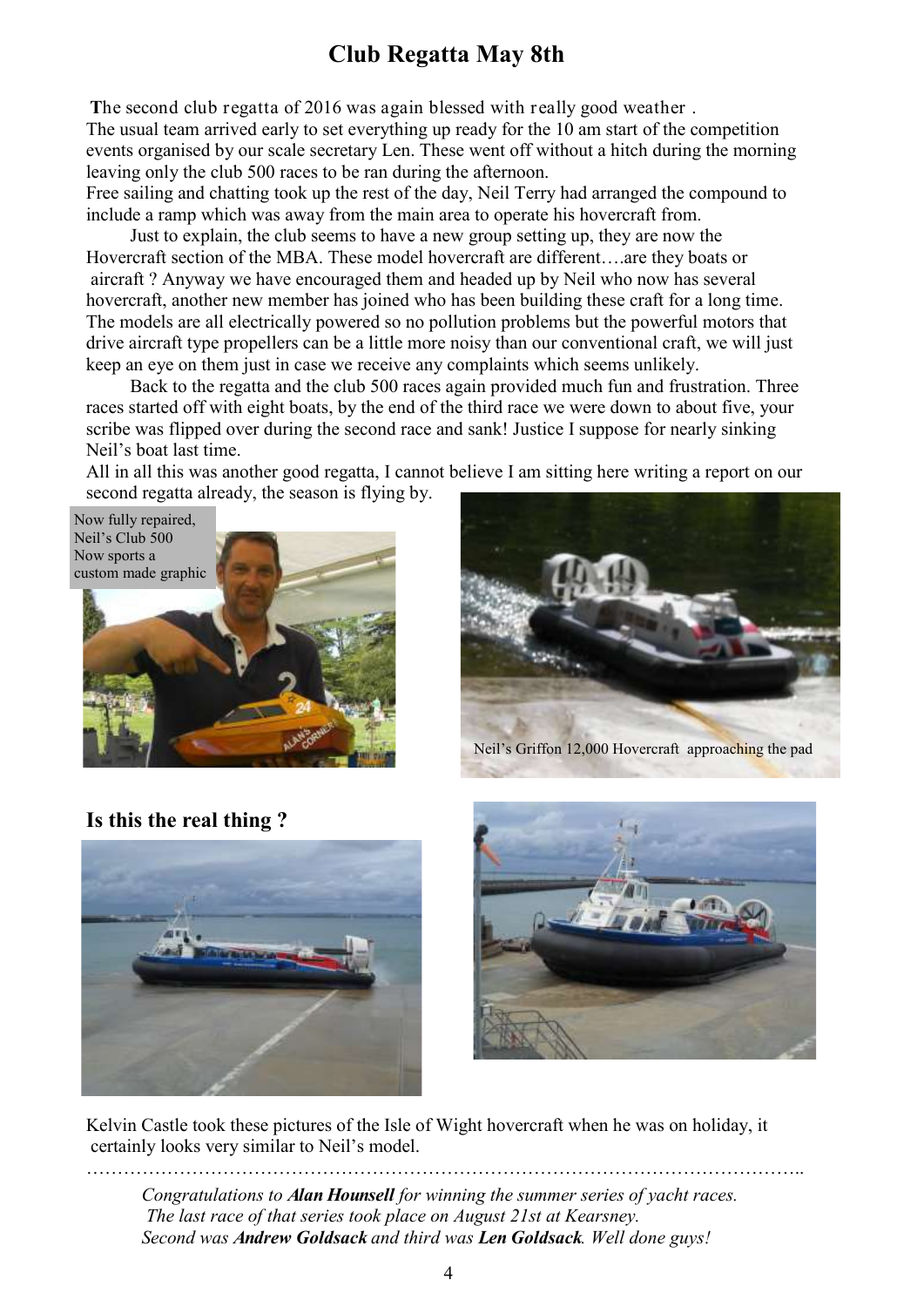# **Club Regatta May 8th**

**T**he second club regatta of 2016 was again blessed with really good weather . The usual team arrived early to set everything up ready for the 10 am start of the competition events organised by our scale secretary Len. These went off without a hitch during the morning leaving only the club 500 races to be ran during the afternoon.

Free sailing and chatting took up the rest of the day, Neil Terry had arranged the compound to include a ramp which was away from the main area to operate his hovercraft from.

Just to explain, the club seems to have a new group setting up, they are now the Hovercraft section of the MBA. These model hovercraft are different….are they boats or aircraft ? Anyway we have encouraged them and headed up by Neil who now has several hovercraft, another new member has joined who has been building these craft for a long time. The models are all electrically powered so no pollution problems but the powerful motors that drive aircraft type propellers can be a little more noisy than our conventional craft, we will just keep an eye on them just in case we receive any complaints which seems unlikely.

Back to the regatta and the club 500 races again provided much fun and frustration. Three races started off with eight boats, by the end of the third race we were down to about five, your scribe was flipped over during the second race and sank! Justice I suppose for nearly sinking Neil's boat last time.

All in all this was another good regatta, I cannot believe I am sitting here writing a report on our second regatta already, the season is flying by.







Neil's Griffon 12,000 Hovercraft approaching the pad

**Is this the real thing ?**





Kelvin Castle took these pictures of the Isle of Wight hovercraft when he was on holiday, it certainly looks very similar to Neil's model.

…………………………………………………………………………………………………….. *Congratulations to Alan Hounsell for winning the summer series of yacht races. The last race of that series took place on August 21st at Kearsney. Second was Andrew Goldsack and third was Len Goldsack. Well done guys!*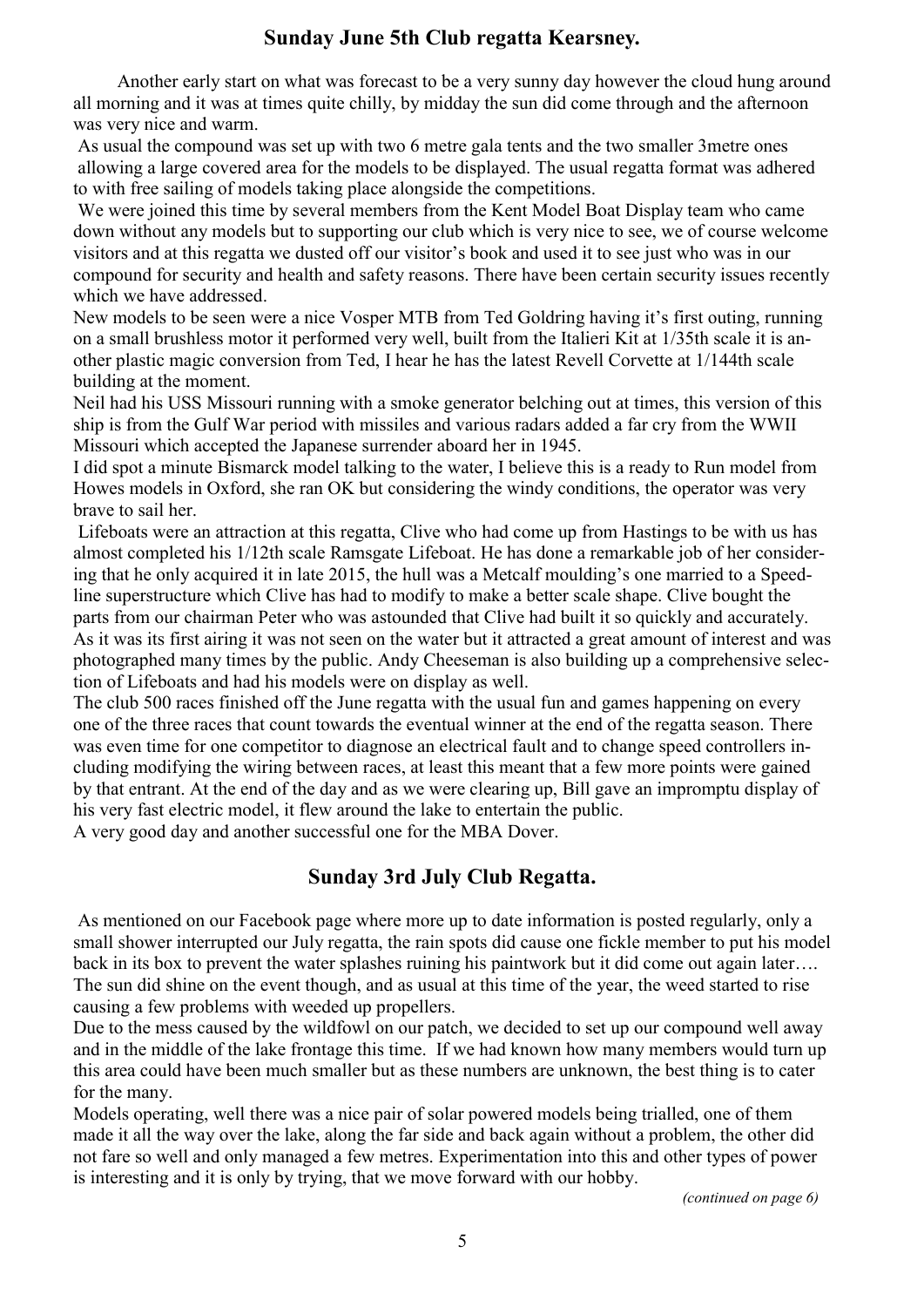### **Sunday June 5th Club regatta Kearsney.**

Another early start on what was forecast to be a very sunny day however the cloud hung around all morning and it was at times quite chilly, by midday the sun did come through and the afternoon was very nice and warm.

As usual the compound was set up with two 6 metre gala tents and the two smaller 3metre ones allowing a large covered area for the models to be displayed. The usual regatta format was adhered to with free sailing of models taking place alongside the competitions.

We were joined this time by several members from the Kent Model Boat Display team who came down without any models but to supporting our club which is very nice to see, we of course welcome visitors and at this regatta we dusted off our visitor's book and used it to see just who was in our compound for security and health and safety reasons. There have been certain security issues recently which we have addressed.

New models to be seen were a nice Vosper MTB from Ted Goldring having it's first outing, running on a small brushless motor it performed very well, built from the Italieri Kit at 1/35th scale it is another plastic magic conversion from Ted, I hear he has the latest Revell Corvette at 1/144th scale building at the moment.

Neil had his USS Missouri running with a smoke generator belching out at times, this version of this ship is from the Gulf War period with missiles and various radars added a far cry from the WWII Missouri which accepted the Japanese surrender aboard her in 1945.

I did spot a minute Bismarck model talking to the water, I believe this is a ready to Run model from Howes models in Oxford, she ran OK but considering the windy conditions, the operator was very brave to sail her.

Lifeboats were an attraction at this regatta, Clive who had come up from Hastings to be with us has almost completed his 1/12th scale Ramsgate Lifeboat. He has done a remarkable job of her considering that he only acquired it in late 2015, the hull was a Metcalf moulding's one married to a Speedline superstructure which Clive has had to modify to make a better scale shape. Clive bought the parts from our chairman Peter who was astounded that Clive had built it so quickly and accurately. As it was its first airing it was not seen on the water but it attracted a great amount of interest and was photographed many times by the public. Andy Cheeseman is also building up a comprehensive selection of Lifeboats and had his models were on display as well.

The club 500 races finished off the June regatta with the usual fun and games happening on every one of the three races that count towards the eventual winner at the end of the regatta season. There was even time for one competitor to diagnose an electrical fault and to change speed controllers including modifying the wiring between races, at least this meant that a few more points were gained by that entrant. At the end of the day and as we were clearing up, Bill gave an impromptu display of his very fast electric model, it flew around the lake to entertain the public.

A very good day and another successful one for the MBA Dover.

### **Sunday 3rd July Club Regatta.**

As mentioned on our Facebook page where more up to date information is posted regularly, only a small shower interrupted our July regatta, the rain spots did cause one fickle member to put his model back in its box to prevent the water splashes ruining his paintwork but it did come out again later.... The sun did shine on the event though, and as usual at this time of the year, the weed started to rise causing a few problems with weeded up propellers.

Due to the mess caused by the wildfowl on our patch, we decided to set up our compound well away and in the middle of the lake frontage this time. If we had known how many members would turn up this area could have been much smaller but as these numbers are unknown, the best thing is to cater for the many.

Models operating, well there was a nice pair of solar powered models being trialled, one of them made it all the way over the lake, along the far side and back again without a problem, the other did not fare so well and only managed a few metres. Experimentation into this and other types of power is interesting and it is only by trying, that we move forward with our hobby.

 *(continued on page 6)*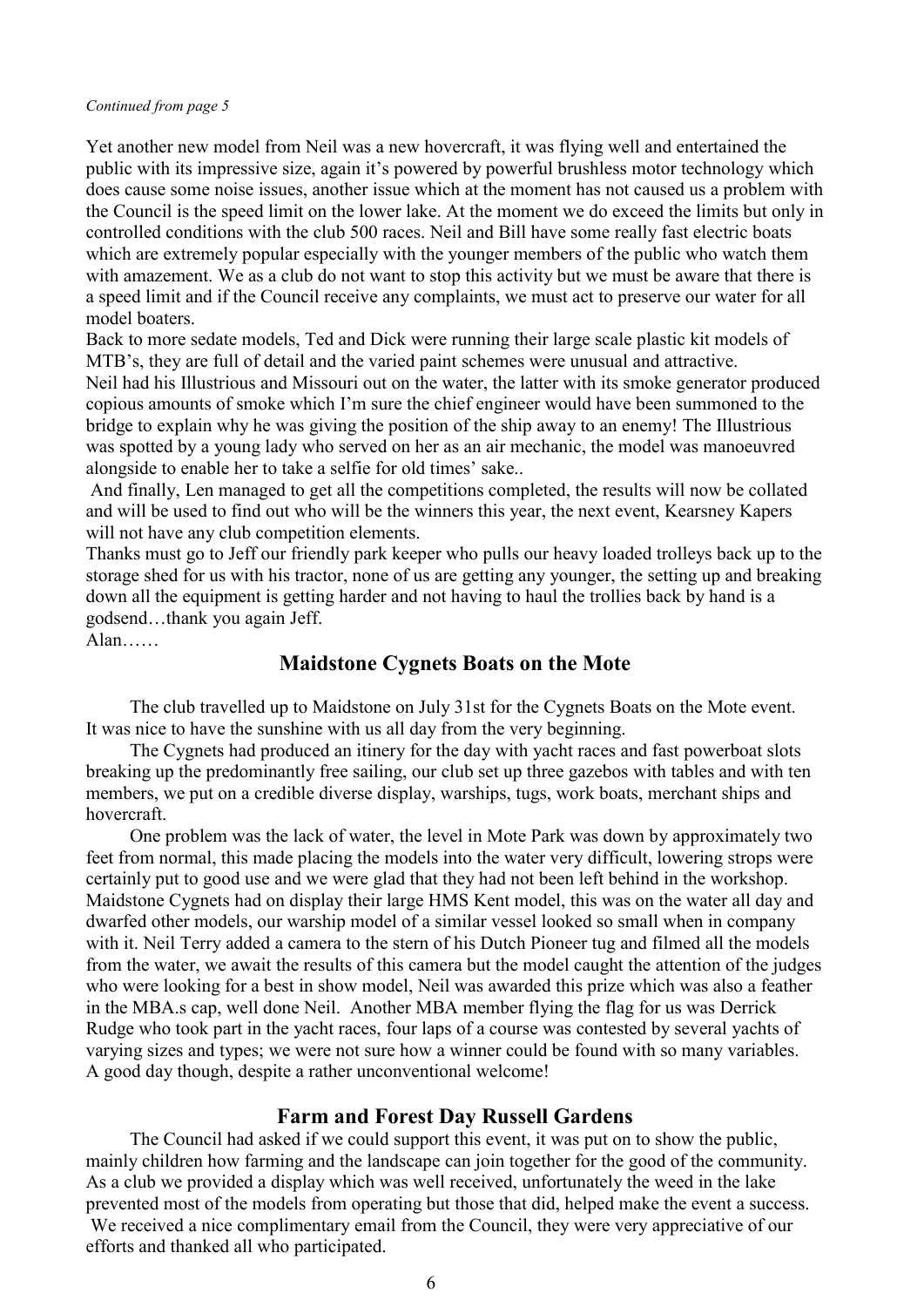#### *Continued from page 5*

Yet another new model from Neil was a new hovercraft, it was flying well and entertained the public with its impressive size, again it's powered by powerful brushless motor technology which does cause some noise issues, another issue which at the moment has not caused us a problem with the Council is the speed limit on the lower lake. At the moment we do exceed the limits but only in controlled conditions with the club 500 races. Neil and Bill have some really fast electric boats which are extremely popular especially with the younger members of the public who watch them with amazement. We as a club do not want to stop this activity but we must be aware that there is a speed limit and if the Council receive any complaints, we must act to preserve our water for all model boaters.

Back to more sedate models, Ted and Dick were running their large scale plastic kit models of MTB's, they are full of detail and the varied paint schemes were unusual and attractive. Neil had his Illustrious and Missouri out on the water, the latter with its smoke generator produced copious amounts of smoke which I'm sure the chief engineer would have been summoned to the bridge to explain why he was giving the position of the ship away to an enemy! The Illustrious was spotted by a young lady who served on her as an air mechanic, the model was manoeuvred alongside to enable her to take a selfie for old times' sake..

And finally, Len managed to get all the competitions completed, the results will now be collated and will be used to find out who will be the winners this year, the next event, Kearsney Kapers will not have any club competition elements.

Thanks must go to Jeff our friendly park keeper who pulls our heavy loaded trolleys back up to the storage shed for us with his tractor, none of us are getting any younger, the setting up and breaking down all the equipment is getting harder and not having to haul the trollies back by hand is a godsend…thank you again Jeff.

Alan……

### **Maidstone Cygnets Boats on the Mote**

The club travelled up to Maidstone on July 31st for the Cygnets Boats on the Mote event. It was nice to have the sunshine with us all day from the very beginning.

The Cygnets had produced an itinery for the day with yacht races and fast powerboat slots breaking up the predominantly free sailing, our club set up three gazebos with tables and with ten members, we put on a credible diverse display, warships, tugs, work boats, merchant ships and hovercraft.

One problem was the lack of water, the level in Mote Park was down by approximately two feet from normal, this made placing the models into the water very difficult, lowering strops were certainly put to good use and we were glad that they had not been left behind in the workshop. Maidstone Cygnets had on display their large HMS Kent model, this was on the water all day and dwarfed other models, our warship model of a similar vessel looked so small when in company with it. Neil Terry added a camera to the stern of his Dutch Pioneer tug and filmed all the models from the water, we await the results of this camera but the model caught the attention of the judges who were looking for a best in show model, Neil was awarded this prize which was also a feather in the MBA.s cap, well done Neil. Another MBA member flying the flag for us was Derrick Rudge who took part in the yacht races, four laps of a course was contested by several yachts of varying sizes and types; we were not sure how a winner could be found with so many variables. A good day though, despite a rather unconventional welcome!

#### **Farm and Forest Day Russell Gardens**

The Council had asked if we could support this event, it was put on to show the public, mainly children how farming and the landscape can join together for the good of the community. As a club we provided a display which was well received, unfortunately the weed in the lake prevented most of the models from operating but those that did, helped make the event a success. We received a nice complimentary email from the Council, they were very appreciative of our efforts and thanked all who participated.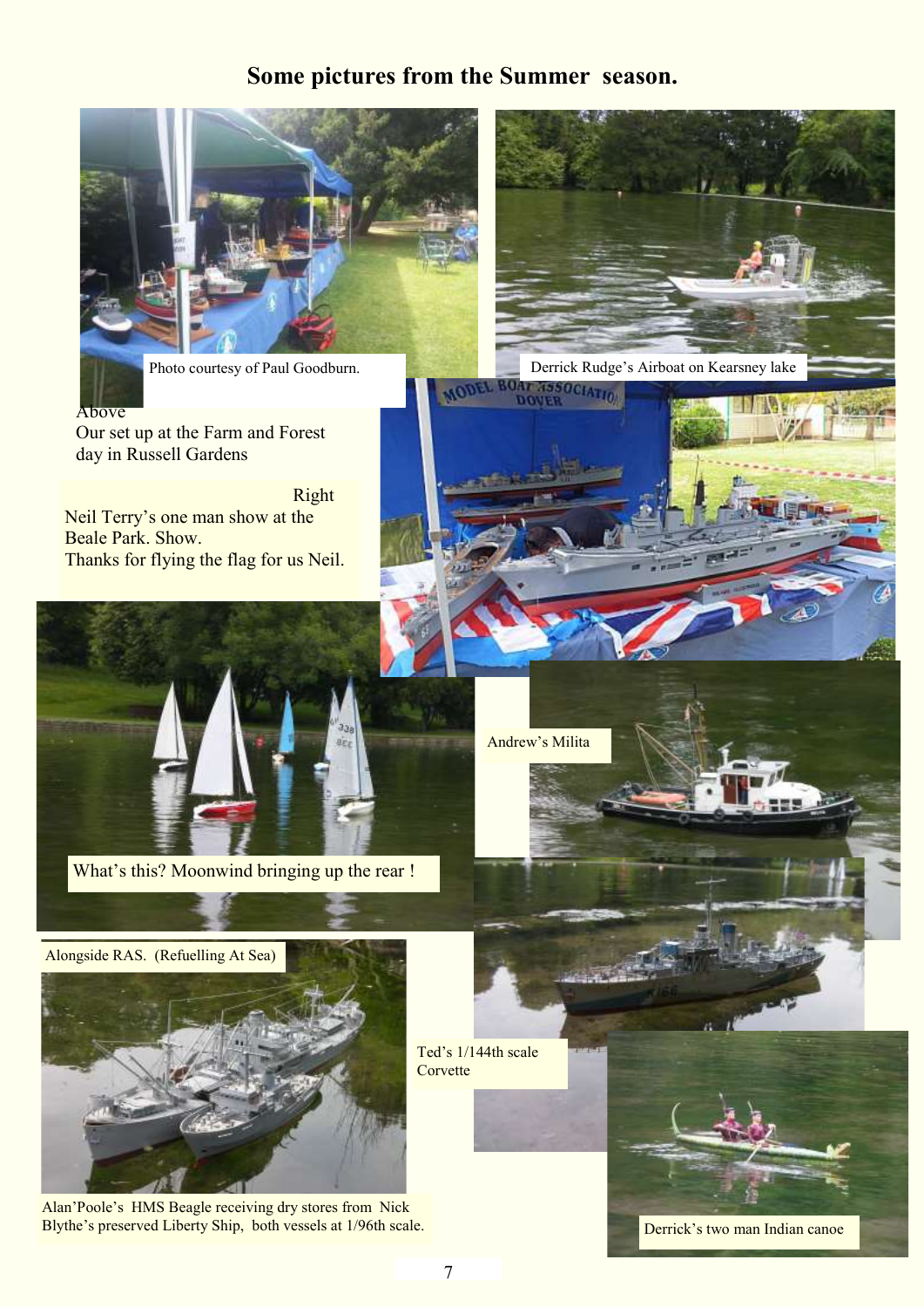# **Some pictures from the Summer season.**



Photo courtesy of Paul Goodburn.<br> **EXECUTE: BOAT AT AND DEL BOAT AT ALCOREM** 

Above Our set up at the Farm and Forest day in Russell Gardens

 Right Neil Terry's one man show at the Beale Park. Show. Thanks for flying the flag for us Neil.



What's this? Moonwind bringing up the rear !

Andrew's Milita

CIATION

Alongside RAS. (Refuelling At Sea)



Alan'Poole's HMS Beagle receiving dry stores from Nick Blythe's preserved Liberty Ship, both vessels at 1/96th scale.



Derrick's two man Indian canoe

Ted's 1/144th scale

Corvette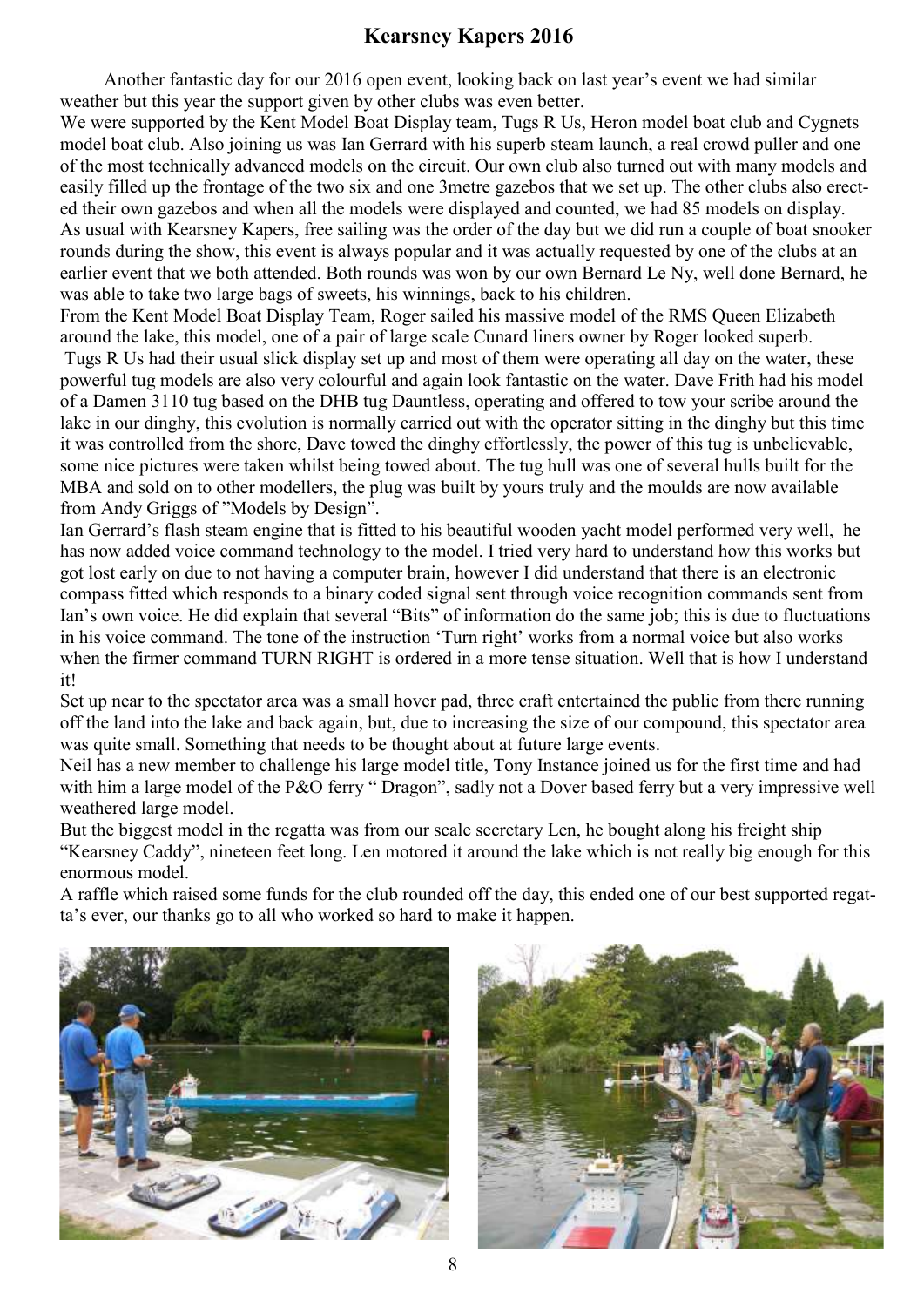## **Kearsney Kapers 2016**

Another fantastic day for our 2016 open event, looking back on last year's event we had similar weather but this year the support given by other clubs was even better.

We were supported by the Kent Model Boat Display team, Tugs R Us, Heron model boat club and Cygnets model boat club. Also joining us was Ian Gerrard with his superb steam launch, a real crowd puller and one of the most technically advanced models on the circuit. Our own club also turned out with many models and easily filled up the frontage of the two six and one 3metre gazebos that we set up. The other clubs also erected their own gazebos and when all the models were displayed and counted, we had 85 models on display. As usual with Kearsney Kapers, free sailing was the order of the day but we did run a couple of boat snooker rounds during the show, this event is always popular and it was actually requested by one of the clubs at an earlier event that we both attended. Both rounds was won by our own Bernard Le Ny, well done Bernard, he was able to take two large bags of sweets, his winnings, back to his children.

From the Kent Model Boat Display Team, Roger sailed his massive model of the RMS Queen Elizabeth around the lake, this model, one of a pair of large scale Cunard liners owner by Roger looked superb.

Tugs R Us had their usual slick display set up and most of them were operating all day on the water, these powerful tug models are also very colourful and again look fantastic on the water. Dave Frith had his model of a Damen 3110 tug based on the DHB tug Dauntless, operating and offered to tow your scribe around the lake in our dinghy, this evolution is normally carried out with the operator sitting in the dinghy but this time it was controlled from the shore, Dave towed the dinghy effortlessly, the power of this tug is unbelievable, some nice pictures were taken whilst being towed about. The tug hull was one of several hulls built for the MBA and sold on to other modellers, the plug was built by yours truly and the moulds are now available from Andy Griggs of "Models by Design".

Ian Gerrard's flash steam engine that is fitted to his beautiful wooden yacht model performed very well, he has now added voice command technology to the model. I tried very hard to understand how this works but got lost early on due to not having a computer brain, however I did understand that there is an electronic compass fitted which responds to a binary coded signal sent through voice recognition commands sent from Ian's own voice. He did explain that several "Bits" of information do the same job; this is due to fluctuations in his voice command. The tone of the instruction 'Turn right' works from a normal voice but also works when the firmer command TURN RIGHT is ordered in a more tense situation. Well that is how I understand it!

Set up near to the spectator area was a small hover pad, three craft entertained the public from there running off the land into the lake and back again, but, due to increasing the size of our compound, this spectator area was quite small. Something that needs to be thought about at future large events.

Neil has a new member to challenge his large model title, Tony Instance joined us for the first time and had with him a large model of the P&O ferry " Dragon", sadly not a Dover based ferry but a very impressive well weathered large model.

But the biggest model in the regatta was from our scale secretary Len, he bought along his freight ship "Kearsney Caddy", nineteen feet long. Len motored it around the lake which is not really big enough for this enormous model.

A raffle which raised some funds for the club rounded off the day, this ended one of our best supported regatta's ever, our thanks go to all who worked so hard to make it happen.



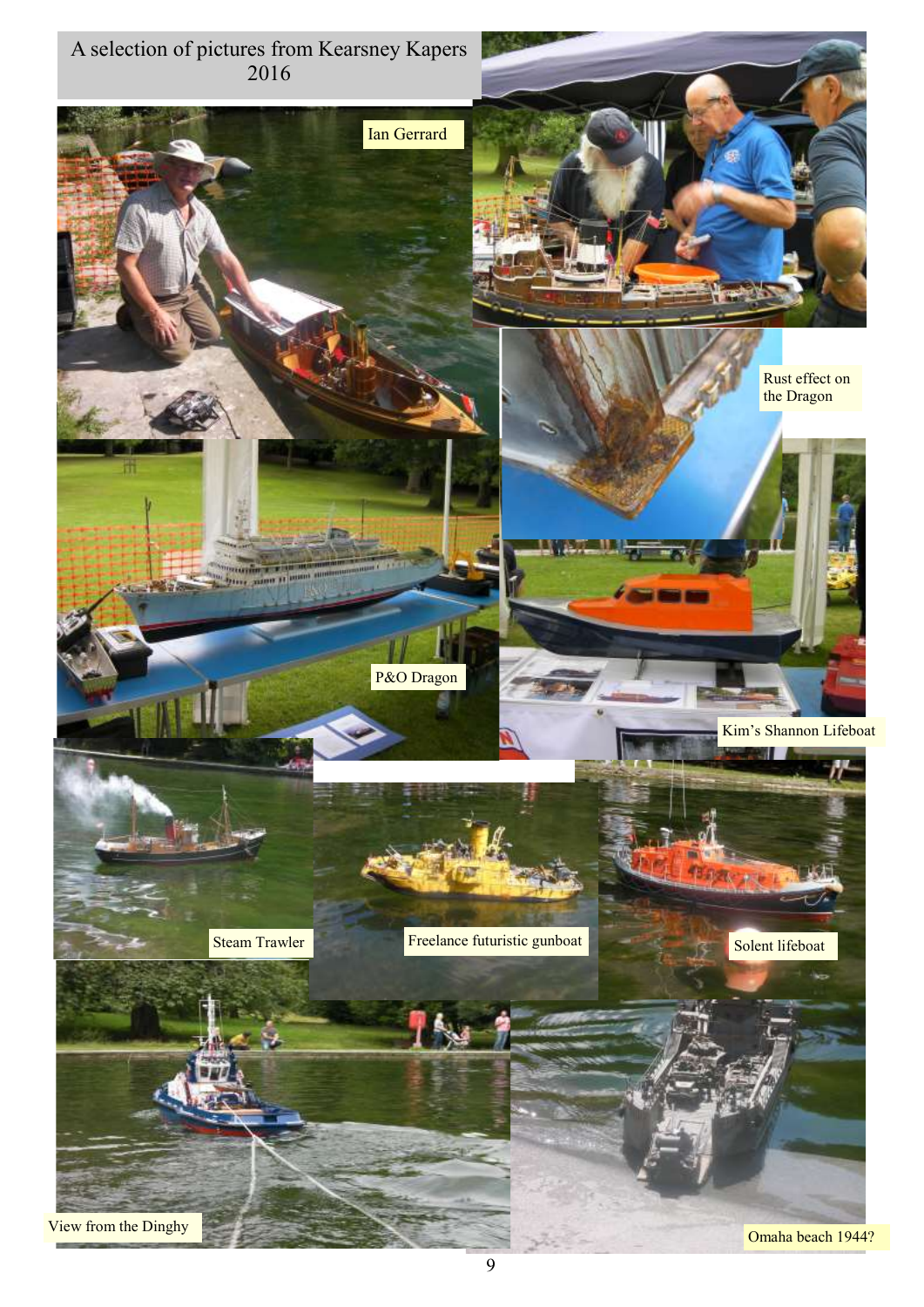